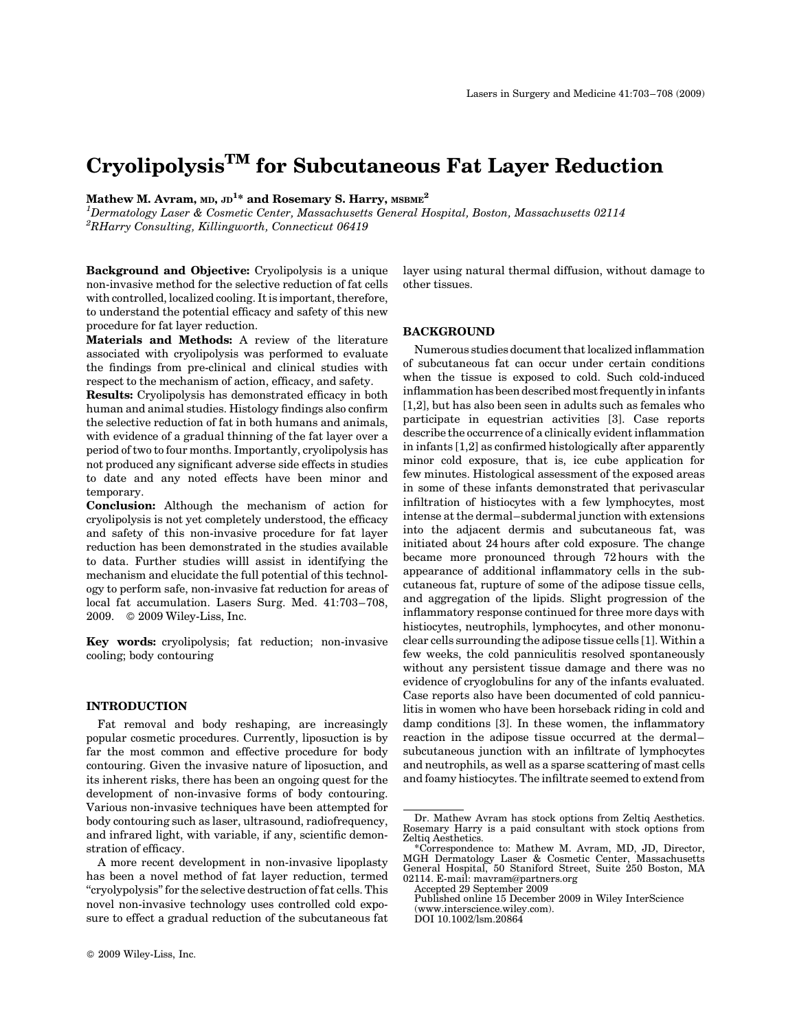# Cryolipolysis<sup>TM</sup> for Subcutaneous Fat Layer Reduction

Mathew M. Avram, мв., лр $^{1\ast}$  and Rosemary S. Harry, м $\mathrm{smax}^2$ 

 $^1$ Dermatology Laser & Cosmetic Center, Massachusetts General Hospital, Boston, Massachusetts 02114 2 RHarry Consulting, Killingworth, Connecticut 06419

Background and Objective: Cryolipolysis is a unique non-invasive method for the selective reduction of fat cells with controlled, localized cooling. It is important, therefore, to understand the potential efficacy and safety of this new procedure for fat layer reduction.

Materials and Methods: A review of the literature associated with cryolipolysis was performed to evaluate the findings from pre-clinical and clinical studies with respect to the mechanism of action, efficacy, and safety.

Results: Cryolipolysis has demonstrated efficacy in both human and animal studies. Histology findings also confirm the selective reduction of fat in both humans and animals, with evidence of a gradual thinning of the fat layer over a period of two to four months. Importantly, cryolipolysis has not produced any significant adverse side effects in studies to date and any noted effects have been minor and temporary.

Conclusion: Although the mechanism of action for cryolipolysis is not yet completely understood, the efficacy and safety of this non-invasive procedure for fat layer reduction has been demonstrated in the studies available to data. Further studies willl assist in identifying the mechanism and elucidate the full potential of this technology to perform safe, non-invasive fat reduction for areas of local fat accumulation. Lasers Surg. Med. 41:703–708, 2009. © 2009 Wiley-Liss, Inc.

Key words: cryolipolysis; fat reduction; non-invasive cooling; body contouring

### INTRODUCTION

Fat removal and body reshaping, are increasingly popular cosmetic procedures. Currently, liposuction is by far the most common and effective procedure for body contouring. Given the invasive nature of liposuction, and its inherent risks, there has been an ongoing quest for the development of non-invasive forms of body contouring. Various non-invasive techniques have been attempted for body contouring such as laser, ultrasound, radiofrequency, and infrared light, with variable, if any, scientific demonstration of efficacy.

layer using natural thermal diffusion, without damage to other tissues.

## BACKGROUND

Numerous studies document that localized inflammation of subcutaneous fat can occur under certain conditions when the tissue is exposed to cold. Such cold-induced inflammation has been described most frequently in infants [1,2], but has also been seen in adults such as females who participate in equestrian activities [3]. Case reports describe the occurrence of a clinically evident inflammation in infants [1,2] as confirmed histologically after apparently minor cold exposure, that is, ice cube application for few minutes. Histological assessment of the exposed areas in some of these infants demonstrated that perivascular infiltration of histiocytes with a few lymphocytes, most intense at the dermal–subdermal junction with extensions into the adjacent dermis and subcutaneous fat, was initiated about 24 hours after cold exposure. The change became more pronounced through 72 hours with the appearance of additional inflammatory cells in the subcutaneous fat, rupture of some of the adipose tissue cells, and aggregation of the lipids. Slight progression of the inflammatory response continued for three more days with histiocytes, neutrophils, lymphocytes, and other mononuclear cells surrounding the adipose tissue cells [1]. Within a few weeks, the cold panniculitis resolved spontaneously without any persistent tissue damage and there was no evidence of cryoglobulins for any of the infants evaluated. Case reports also have been documented of cold panniculitis in women who have been horseback riding in cold and damp conditions [3]. In these women, the inflammatory reaction in the adipose tissue occurred at the dermal– subcutaneous junction with an infiltrate of lymphocytes and neutrophils, as well as a sparse scattering of mast cells and foamy histiocytes. The infiltrate seemed to extend from

DOI 10.1002/lsm.20864

A more recent development in non-invasive lipoplasty has been a novel method of fat layer reduction, termed ''cryolypolysis'' for the selective destruction of fat cells. This novel non-invasive technology uses controlled cold exposure to effect a gradual reduction of the subcutaneous fat

Dr. Mathew Avram has stock options from Zeltiq Aesthetics. Rosemary Harry is a paid consultant with stock options from Zeltiq Aesthetics.

<sup>\*</sup>Correspondence to: Mathew M. Avram, MD, JD, Director, MGH Dermatology Laser & Cosmetic Center, Massachusetts General Hospital, 50 Staniford Street, Suite 250 Boston, MA 02114. E-mail: mavram@partners.org

Accepted 29 September 2009 Published online 15 December 2009 in Wiley InterScience (www.interscience.wiley.com).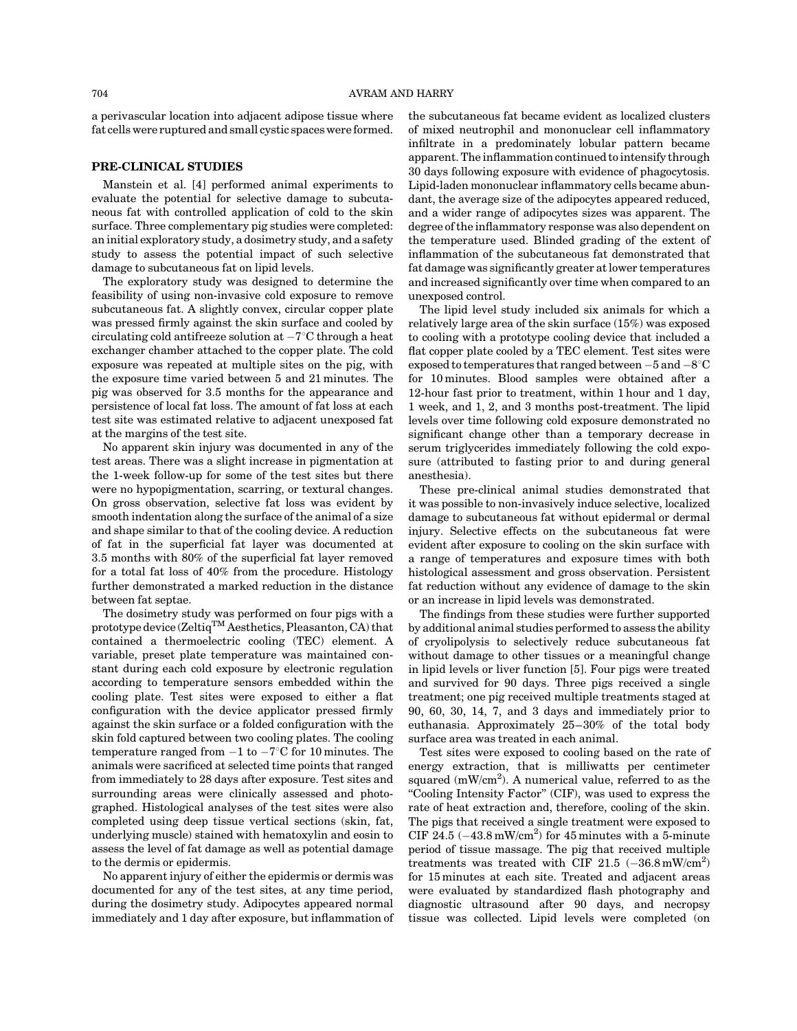a perivascular location into adjacent adipose tissue where fat cells were ruptured and small cystic spaces were formed.

## PRE-CLINICAL STUDIES

Manstein et al. [4] performed animal experiments to evaluate the potential for selective damage to subcutaneous fat with controlled application of cold to the skin surface. Three complementary pig studies were completed: an initial exploratory study, a dosimetry study, and a safety study to assess the potential impact of such selective damage to subcutaneous fat on lipid levels.

The exploratory study was designed to determine the feasibility of using non-invasive cold exposure to remove subcutaneous fat. A slightly convex, circular copper plate was pressed firmly against the skin surface and cooled by circulating cold antifreeze solution at  $-7^{\circ}$ C through a heat exchanger chamber attached to the copper plate. The cold exposure was repeated at multiple sites on the pig, with the exposure time varied between 5 and 21 minutes. The pig was observed for 3.5 months for the appearance and persistence of local fat loss. The amount of fat loss at each test site was estimated relative to adjacent unexposed fat at the margins of the test site.

No apparent skin injury was documented in any of the test areas. There was a slight increase in pigmentation at the 1-week follow-up for some of the test sites but there were no hypopigmentation, scarring, or textural changes. On gross observation, selective fat loss was evident by smooth indentation along the surface of the animal of a size and shape similar to that of the cooling device. A reduction of fat in the superficial fat layer was documented at 3.5 months with 80% of the superficial fat layer removed for a total fat loss of 40% from the procedure. Histology further demonstrated a marked reduction in the distance between fat septae.

The dosimetry study was performed on four pigs with a prototype device (ZeltiqTM Aesthetics, Pleasanton, CA) that contained a thermoelectric cooling (TEC) element. A variable, preset plate temperature was maintained constant during each cold exposure by electronic regulation according to temperature sensors embedded within the cooling plate. Test sites were exposed to either a flat configuration with the device applicator pressed firmly against the skin surface or a folded configuration with the skin fold captured between two cooling plates. The cooling temperature ranged from  $-1$  to  $-7^{\circ}$ C for 10 minutes. The animals were sacrificed at selected time points that ranged from immediately to 28 days after exposure. Test sites and surrounding areas were clinically assessed and photographed. Histological analyses of the test sites were also completed using deep tissue vertical sections (skin, fat, underlying muscle) stained with hematoxylin and eosin to assess the level of fat damage as well as potential damage to the dermis or epidermis.

No apparent injury of either the epidermis or dermis was documented for any of the test sites, at any time period, during the dosimetry study. Adipocytes appeared normal immediately and 1 day after exposure, but inflammation of

the subcutaneous fat became evident as localized clusters of mixed neutrophil and mononuclear cell inflammatory infiltrate in a predominately lobular pattern became apparent. The inflammation continued to intensify through 30 days following exposure with evidence of phagocytosis. Lipid-laden mononuclear inflammatory cells became abundant, the average size of the adipocytes appeared reduced, and a wider range of adipocytes sizes was apparent. The degree of the inflammatory response was also dependent on the temperature used. Blinded grading of the extent of inflammation of the subcutaneous fat demonstrated that fat damage was significantly greater at lower temperatures and increased significantly over time when compared to an unexposed control.

The lipid level study included six animals for which a relatively large area of the skin surface (15%) was exposed to cooling with a prototype cooling device that included a flat copper plate cooled by a TEC element. Test sites were exposed to temperatures that ranged between  $-5$  and  $-8^{\circ}$ C for 10 minutes. Blood samples were obtained after a 12-hour fast prior to treatment, within 1 hour and 1 day, 1 week, and 1, 2, and 3 months post-treatment. The lipid levels over time following cold exposure demonstrated no significant change other than a temporary decrease in serum triglycerides immediately following the cold exposure (attributed to fasting prior to and during general anesthesia).

These pre-clinical animal studies demonstrated that it was possible to non-invasively induce selective, localized damage to subcutaneous fat without epidermal or dermal injury. Selective effects on the subcutaneous fat were evident after exposure to cooling on the skin surface with a range of temperatures and exposure times with both histological assessment and gross observation. Persistent fat reduction without any evidence of damage to the skin or an increase in lipid levels was demonstrated.

The findings from these studies were further supported by additional animal studies performed to assess the ability of cryolipolysis to selectively reduce subcutaneous fat without damage to other tissues or a meaningful change in lipid levels or liver function [5]. Four pigs were treated and survived for 90 days. Three pigs received a single treatment; one pig received multiple treatments staged at 90, 60, 30, 14, 7, and 3 days and immediately prior to euthanasia. Approximately 25–30% of the total body surface area was treated in each animal.

Test sites were exposed to cooling based on the rate of energy extraction, that is milliwatts per centimeter squared (mW/cm<sup>2</sup>). A numerical value, referred to as the ''Cooling Intensity Factor'' (CIF), was used to express the rate of heat extraction and, therefore, cooling of the skin. The pigs that received a single treatment were exposed to CIF 24.5  $(-43.8 \text{ mW/cm}^2)$  for 45 minutes with a 5-minute period of tissue massage. The pig that received multiple treatments was treated with CIF 21.5  $(-36.8 \text{ mW/cm}^2)$ for 15 minutes at each site. Treated and adjacent areas were evaluated by standardized flash photography and diagnostic ultrasound after 90 days, and necropsy tissue was collected. Lipid levels were completed (on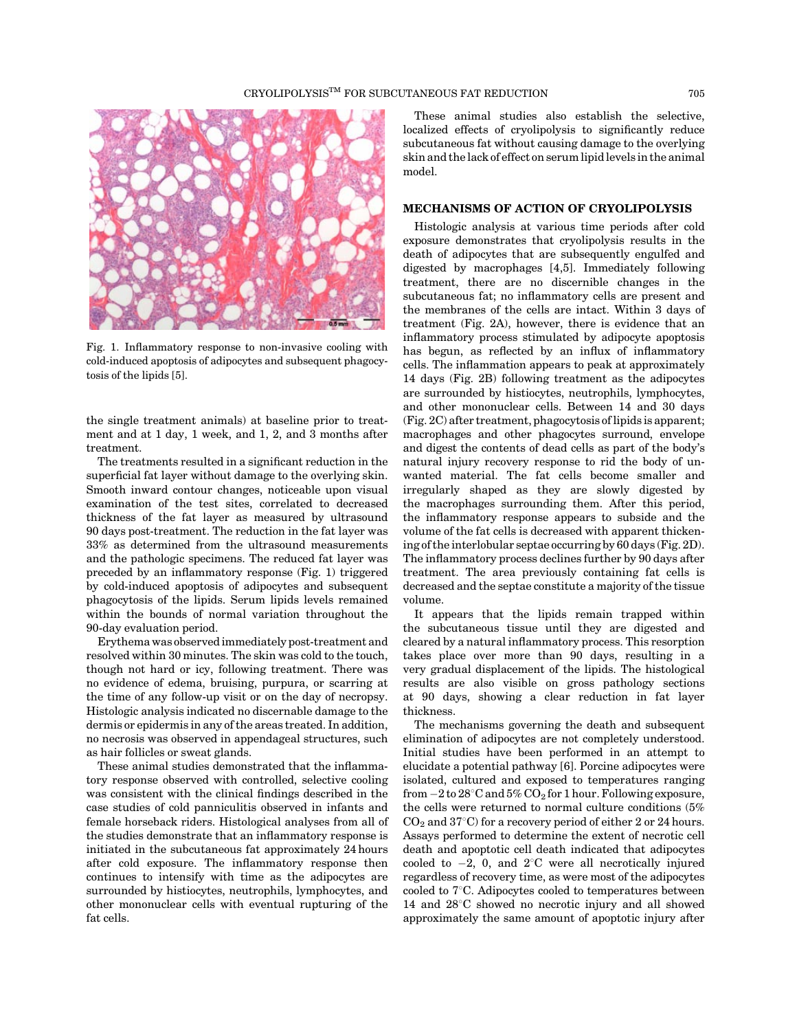

Fig. 1. Inflammatory response to non-invasive cooling with cold-induced apoptosis of adipocytes and subsequent phagocytosis of the lipids [5].

the single treatment animals) at baseline prior to treatment and at 1 day, 1 week, and 1, 2, and 3 months after treatment.

The treatments resulted in a significant reduction in the superficial fat layer without damage to the overlying skin. Smooth inward contour changes, noticeable upon visual examination of the test sites, correlated to decreased thickness of the fat layer as measured by ultrasound 90 days post-treatment. The reduction in the fat layer was 33% as determined from the ultrasound measurements and the pathologic specimens. The reduced fat layer was preceded by an inflammatory response (Fig. 1) triggered by cold-induced apoptosis of adipocytes and subsequent phagocytosis of the lipids. Serum lipids levels remained within the bounds of normal variation throughout the 90-day evaluation period.

Erythema was observed immediately post-treatment and resolved within 30 minutes. The skin was cold to the touch, though not hard or icy, following treatment. There was no evidence of edema, bruising, purpura, or scarring at the time of any follow-up visit or on the day of necropsy. Histologic analysis indicated no discernable damage to the dermis or epidermis in any of the areas treated. In addition, no necrosis was observed in appendageal structures, such as hair follicles or sweat glands.

These animal studies demonstrated that the inflammatory response observed with controlled, selective cooling was consistent with the clinical findings described in the case studies of cold panniculitis observed in infants and female horseback riders. Histological analyses from all of the studies demonstrate that an inflammatory response is initiated in the subcutaneous fat approximately 24 hours after cold exposure. The inflammatory response then continues to intensify with time as the adipocytes are surrounded by histiocytes, neutrophils, lymphocytes, and other mononuclear cells with eventual rupturing of the fat cells.

These animal studies also establish the selective, localized effects of cryolipolysis to significantly reduce subcutaneous fat without causing damage to the overlying skin and the lack of effect on serum lipid levels in the animal model.

#### MECHANISMS OF ACTION OF CRYOLIPOLYSIS

Histologic analysis at various time periods after cold exposure demonstrates that cryolipolysis results in the death of adipocytes that are subsequently engulfed and digested by macrophages [4,5]. Immediately following treatment, there are no discernible changes in the subcutaneous fat; no inflammatory cells are present and the membranes of the cells are intact. Within 3 days of treatment (Fig. 2A), however, there is evidence that an inflammatory process stimulated by adipocyte apoptosis has begun, as reflected by an influx of inflammatory cells. The inflammation appears to peak at approximately 14 days (Fig. 2B) following treatment as the adipocytes are surrounded by histiocytes, neutrophils, lymphocytes, and other mononuclear cells. Between 14 and 30 days (Fig. 2C) after treatment, phagocytosis of lipids is apparent; macrophages and other phagocytes surround, envelope and digest the contents of dead cells as part of the body's natural injury recovery response to rid the body of unwanted material. The fat cells become smaller and irregularly shaped as they are slowly digested by the macrophages surrounding them. After this period, the inflammatory response appears to subside and the volume of the fat cells is decreased with apparent thickening of the interlobular septae occurring by 60 days (Fig. 2D). The inflammatory process declines further by 90 days after treatment. The area previously containing fat cells is decreased and the septae constitute a majority of the tissue volume.

It appears that the lipids remain trapped within the subcutaneous tissue until they are digested and cleared by a natural inflammatory process. This resorption takes place over more than 90 days, resulting in a very gradual displacement of the lipids. The histological results are also visible on gross pathology sections at 90 days, showing a clear reduction in fat layer thickness.

The mechanisms governing the death and subsequent elimination of adipocytes are not completely understood. Initial studies have been performed in an attempt to elucidate a potential pathway [6]. Porcine adipocytes were isolated, cultured and exposed to temperatures ranging from  $-2$  to  $28^{\circ}$ C and  $5\%$  CO<sub>2</sub> for 1 hour. Following exposure, the cells were returned to normal culture conditions (5%  $CO<sub>2</sub>$  and 37°C) for a recovery period of either 2 or 24 hours. Assays performed to determine the extent of necrotic cell death and apoptotic cell death indicated that adipocytes cooled to  $-2$ , 0, and  $2^{\circ}$ C were all necrotically injured regardless of recovery time, as were most of the adipocytes cooled to  $7^{\circ}$ C. Adipocytes cooled to temperatures between 14 and  $28^{\circ}$ C showed no necrotic injury and all showed approximately the same amount of apoptotic injury after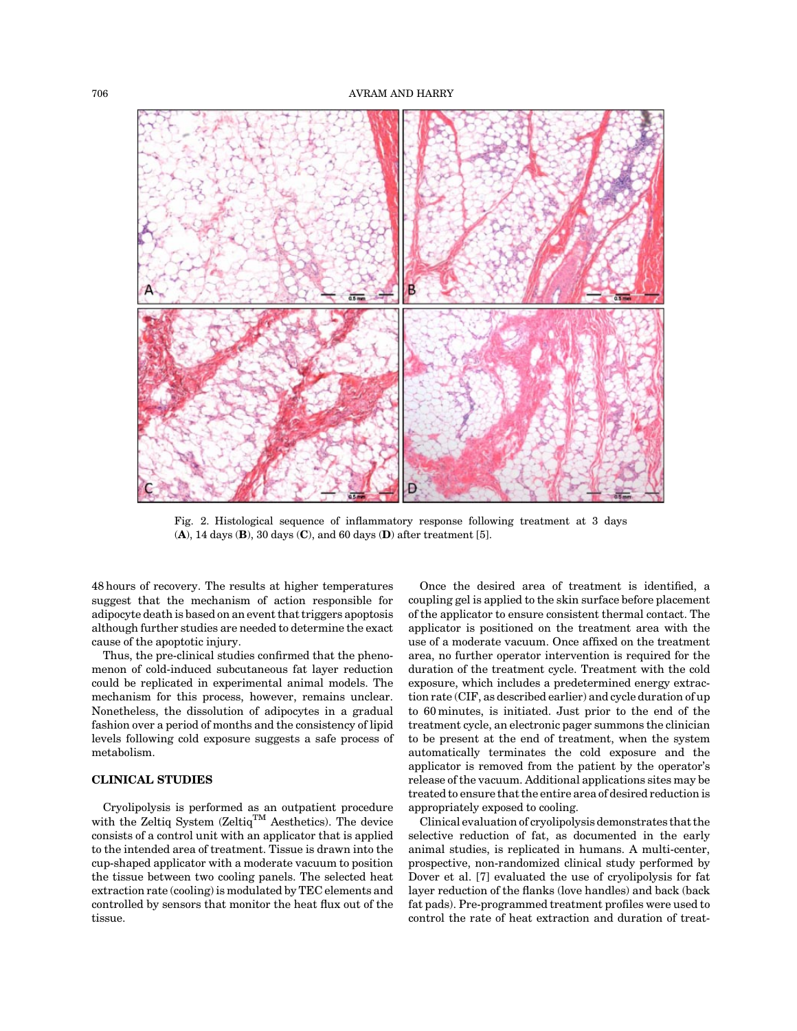

Fig. 2. Histological sequence of inflammatory response following treatment at 3 days  $(A)$ , 14 days  $(B)$ , 30 days  $(C)$ , and 60 days  $(D)$  after treatment [5].

48 hours of recovery. The results at higher temperatures suggest that the mechanism of action responsible for adipocyte death is based on an event that triggers apoptosis although further studies are needed to determine the exact cause of the apoptotic injury.

Thus, the pre-clinical studies confirmed that the phenomenon of cold-induced subcutaneous fat layer reduction could be replicated in experimental animal models. The mechanism for this process, however, remains unclear. Nonetheless, the dissolution of adipocytes in a gradual fashion over a period of months and the consistency of lipid levels following cold exposure suggests a safe process of metabolism.

## CLINICAL STUDIES

Cryolipolysis is performed as an outpatient procedure with the Zeltiq System (Zeltiq $^{TM}$  Aesthetics). The device consists of a control unit with an applicator that is applied to the intended area of treatment. Tissue is drawn into the cup-shaped applicator with a moderate vacuum to position the tissue between two cooling panels. The selected heat extraction rate (cooling) is modulated by TEC elements and controlled by sensors that monitor the heat flux out of the tissue.

Once the desired area of treatment is identified, a coupling gel is applied to the skin surface before placement of the applicator to ensure consistent thermal contact. The applicator is positioned on the treatment area with the use of a moderate vacuum. Once affixed on the treatment area, no further operator intervention is required for the duration of the treatment cycle. Treatment with the cold exposure, which includes a predetermined energy extraction rate (CIF, as described earlier) and cycle duration of up to 60 minutes, is initiated. Just prior to the end of the treatment cycle, an electronic pager summons the clinician to be present at the end of treatment, when the system automatically terminates the cold exposure and the applicator is removed from the patient by the operator's release of the vacuum. Additional applications sites may be treated to ensure that the entire area of desired reduction is appropriately exposed to cooling.

Clinical evaluation of cryolipolysis demonstrates that the selective reduction of fat, as documented in the early animal studies, is replicated in humans. A multi-center, prospective, non-randomized clinical study performed by Dover et al. [7] evaluated the use of cryolipolysis for fat layer reduction of the flanks (love handles) and back (back fat pads). Pre-programmed treatment profiles were used to control the rate of heat extraction and duration of treat-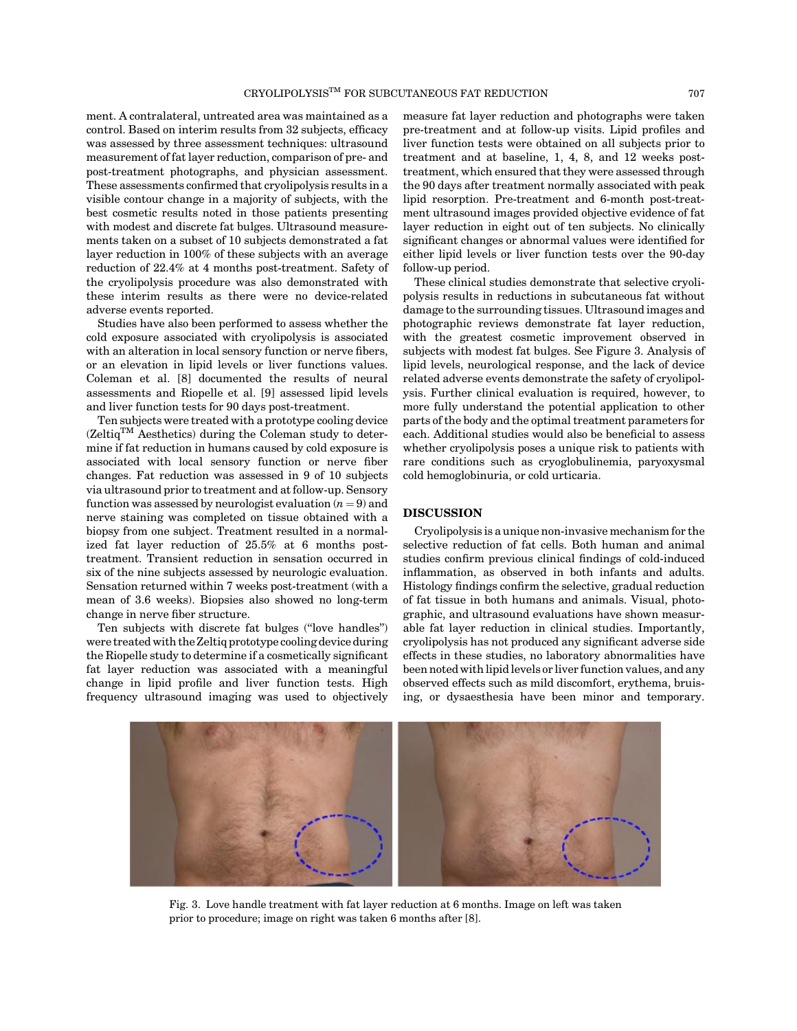ment. A contralateral, untreated area was maintained as a control. Based on interim results from 32 subjects, efficacy was assessed by three assessment techniques: ultrasound measurement of fat layer reduction, comparison of pre- and post-treatment photographs, and physician assessment. These assessments confirmed that cryolipolysis results in a visible contour change in a majority of subjects, with the best cosmetic results noted in those patients presenting with modest and discrete fat bulges. Ultrasound measurements taken on a subset of 10 subjects demonstrated a fat layer reduction in 100% of these subjects with an average reduction of 22.4% at 4 months post-treatment. Safety of the cryolipolysis procedure was also demonstrated with these interim results as there were no device-related adverse events reported.

Studies have also been performed to assess whether the cold exposure associated with cryolipolysis is associated with an alteration in local sensory function or nerve fibers, or an elevation in lipid levels or liver functions values. Coleman et al. [8] documented the results of neural assessments and Riopelle et al. [9] assessed lipid levels and liver function tests for 90 days post-treatment.

Ten subjects were treated with a prototype cooling device  $(Zeltiq^{TM}$  Aesthetics) during the Coleman study to determine if fat reduction in humans caused by cold exposure is associated with local sensory function or nerve fiber changes. Fat reduction was assessed in 9 of 10 subjects via ultrasound prior to treatment and at follow-up. Sensory function was assessed by neurologist evaluation  $(n = 9)$  and nerve staining was completed on tissue obtained with a biopsy from one subject. Treatment resulted in a normalized fat layer reduction of 25.5% at 6 months posttreatment. Transient reduction in sensation occurred in six of the nine subjects assessed by neurologic evaluation. Sensation returned within 7 weeks post-treatment (with a mean of 3.6 weeks). Biopsies also showed no long-term change in nerve fiber structure.

Ten subjects with discrete fat bulges (''love handles'') were treated with the Zeltiq prototype cooling device during the Riopelle study to determine if a cosmetically significant fat layer reduction was associated with a meaningful change in lipid profile and liver function tests. High frequency ultrasound imaging was used to objectively

measure fat layer reduction and photographs were taken pre-treatment and at follow-up visits. Lipid profiles and liver function tests were obtained on all subjects prior to treatment and at baseline, 1, 4, 8, and 12 weeks posttreatment, which ensured that they were assessed through the 90 days after treatment normally associated with peak lipid resorption. Pre-treatment and 6-month post-treatment ultrasound images provided objective evidence of fat layer reduction in eight out of ten subjects. No clinically significant changes or abnormal values were identified for either lipid levels or liver function tests over the 90-day follow-up period.

These clinical studies demonstrate that selective cryolipolysis results in reductions in subcutaneous fat without damage to the surrounding tissues. Ultrasound images and photographic reviews demonstrate fat layer reduction, with the greatest cosmetic improvement observed in subjects with modest fat bulges. See Figure 3. Analysis of lipid levels, neurological response, and the lack of device related adverse events demonstrate the safety of cryolipolysis. Further clinical evaluation is required, however, to more fully understand the potential application to other parts of the body and the optimal treatment parameters for each. Additional studies would also be beneficial to assess whether cryolipolysis poses a unique risk to patients with rare conditions such as cryoglobulinemia, paryoxysmal cold hemoglobinuria, or cold urticaria.

## DISCUSSION

Cryolipolysis is a unique non-invasive mechanism for the selective reduction of fat cells. Both human and animal studies confirm previous clinical findings of cold-induced inflammation, as observed in both infants and adults. Histology findings confirm the selective, gradual reduction of fat tissue in both humans and animals. Visual, photographic, and ultrasound evaluations have shown measurable fat layer reduction in clinical studies. Importantly, cryolipolysis has not produced any significant adverse side effects in these studies, no laboratory abnormalities have been noted with lipid levels or liver function values, and any observed effects such as mild discomfort, erythema, bruising, or dysaesthesia have been minor and temporary.



Fig. 3. Love handle treatment with fat layer reduction at 6 months. Image on left was taken prior to procedure; image on right was taken 6 months after [8].